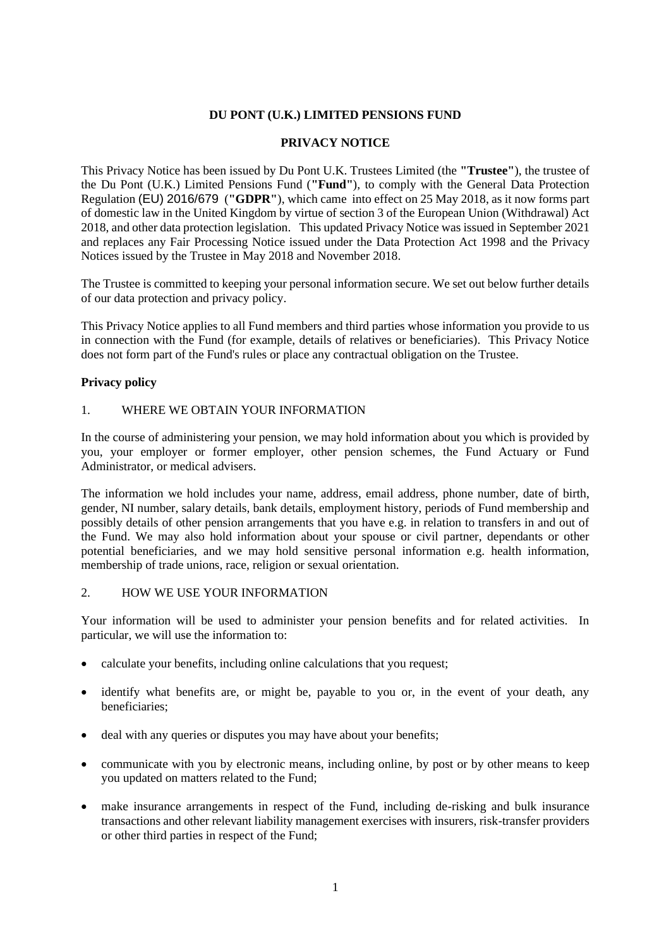### **DU PONT (U.K.) LIMITED PENSIONS FUND**

### **PRIVACY NOTICE**

This Privacy Notice has been issued by Du Pont U.K. Trustees Limited (the **"Trustee"**), the trustee of the Du Pont (U.K.) Limited Pensions Fund (**"Fund"**), to comply with the General Data Protection Regulation (EU) 2016/679 (**"GDPR"**), which came into effect on 25 May 2018, as it now forms part of domestic law in the United Kingdom by virtue of section 3 of the European Union (Withdrawal) Act 2018, and other data protection legislation. This updated Privacy Notice was issued in September 2021 and replaces any Fair Processing Notice issued under the Data Protection Act 1998 and the Privacy Notices issued by the Trustee in May 2018 and November 2018.

The Trustee is committed to keeping your personal information secure. We set out below further details of our data protection and privacy policy.

This Privacy Notice applies to all Fund members and third parties whose information you provide to us in connection with the Fund (for example, details of relatives or beneficiaries). This Privacy Notice does not form part of the Fund's rules or place any contractual obligation on the Trustee.

### **Privacy policy**

#### 1. WHERE WE OBTAIN YOUR INFORMATION

In the course of administering your pension, we may hold information about you which is provided by you, your employer or former employer, other pension schemes, the Fund Actuary or Fund Administrator, or medical advisers.

The information we hold includes your name, address, email address, phone number, date of birth, gender, NI number, salary details, bank details, employment history, periods of Fund membership and possibly details of other pension arrangements that you have e.g. in relation to transfers in and out of the Fund. We may also hold information about your spouse or civil partner, dependants or other potential beneficiaries, and we may hold sensitive personal information e.g. health information, membership of trade unions, race, religion or sexual orientation.

#### 2. HOW WE USE YOUR INFORMATION

Your information will be used to administer your pension benefits and for related activities. In particular, we will use the information to:

- calculate your benefits, including online calculations that you request;
- identify what benefits are, or might be, payable to you or, in the event of your death, any beneficiaries;
- deal with any queries or disputes you may have about your benefits;
- communicate with you by electronic means, including online, by post or by other means to keep you updated on matters related to the Fund;
- make insurance arrangements in respect of the Fund, including de-risking and bulk insurance transactions and other relevant liability management exercises with insurers, risk-transfer providers or other third parties in respect of the Fund;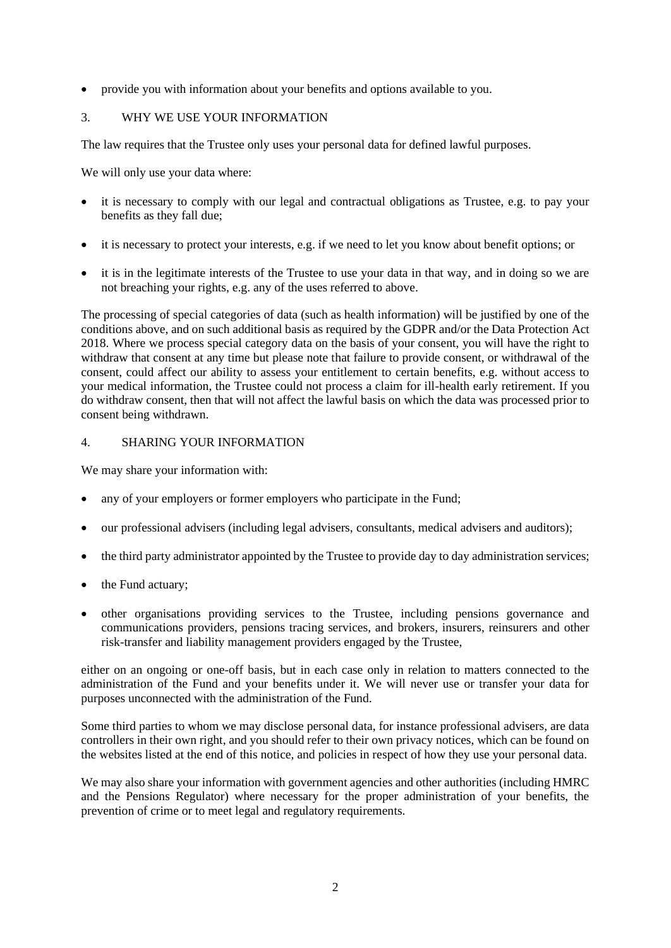• provide you with information about your benefits and options available to you.

## 3. WHY WE USE YOUR INFORMATION

The law requires that the Trustee only uses your personal data for defined lawful purposes.

We will only use your data where:

- it is necessary to comply with our legal and contractual obligations as Trustee, e.g. to pay your benefits as they fall due;
- it is necessary to protect your interests, e.g. if we need to let you know about benefit options; or
- it is in the legitimate interests of the Trustee to use your data in that way, and in doing so we are not breaching your rights, e.g. any of the uses referred to above.

The processing of special categories of data (such as health information) will be justified by one of the conditions above, and on such additional basis as required by the GDPR and/or the Data Protection Act 2018. Where we process special category data on the basis of your consent, you will have the right to withdraw that consent at any time but please note that failure to provide consent, or withdrawal of the consent, could affect our ability to assess your entitlement to certain benefits, e.g. without access to your medical information, the Trustee could not process a claim for ill-health early retirement. If you do withdraw consent, then that will not affect the lawful basis on which the data was processed prior to consent being withdrawn.

## 4. SHARING YOUR INFORMATION

We may share your information with:

- any of your employers or former employers who participate in the Fund;
- our professional advisers (including legal advisers, consultants, medical advisers and auditors);
- the third party administrator appointed by the Trustee to provide day to day administration services;
- the Fund actuary;
- other organisations providing services to the Trustee, including pensions governance and communications providers, pensions tracing services, and brokers, insurers, reinsurers and other risk-transfer and liability management providers engaged by the Trustee,

either on an ongoing or one-off basis, but in each case only in relation to matters connected to the administration of the Fund and your benefits under it. We will never use or transfer your data for purposes unconnected with the administration of the Fund.

Some third parties to whom we may disclose personal data, for instance professional advisers, are data controllers in their own right, and you should refer to their own privacy notices, which can be found on the websites listed at the end of this notice, and policies in respect of how they use your personal data.

We may also share your information with government agencies and other authorities (including HMRC and the Pensions Regulator) where necessary for the proper administration of your benefits, the prevention of crime or to meet legal and regulatory requirements.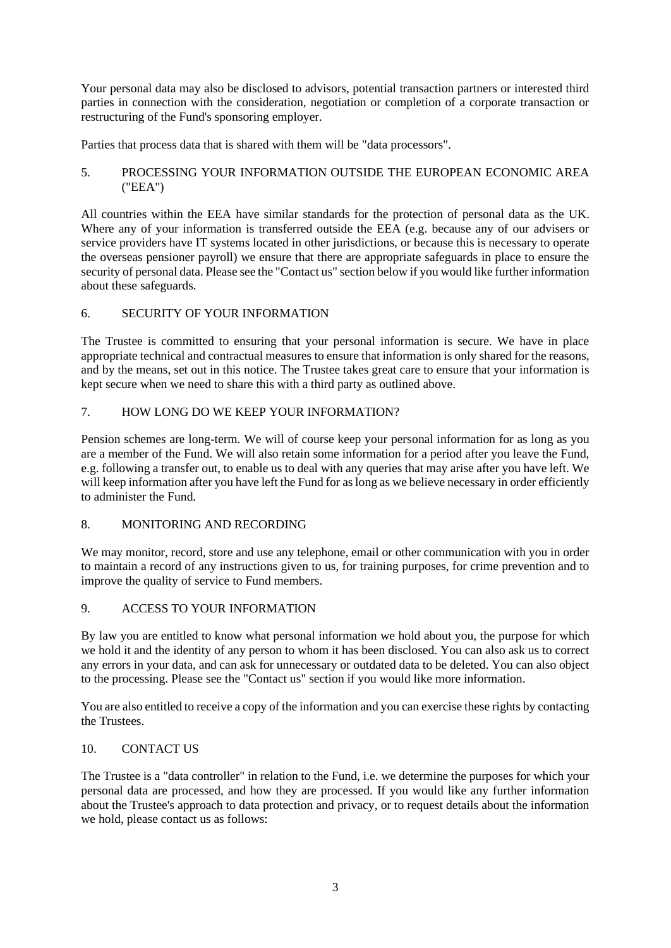Your personal data may also be disclosed to advisors, potential transaction partners or interested third parties in connection with the consideration, negotiation or completion of a corporate transaction or restructuring of the Fund's sponsoring employer.

Parties that process data that is shared with them will be "data processors".

## 5. PROCESSING YOUR INFORMATION OUTSIDE THE EUROPEAN ECONOMIC AREA ("EEA")

All countries within the EEA have similar standards for the protection of personal data as the UK. Where any of your information is transferred outside the EEA (e.g. because any of our advisers or service providers have IT systems located in other jurisdictions, or because this is necessary to operate the overseas pensioner payroll) we ensure that there are appropriate safeguards in place to ensure the security of personal data. Please see the "Contact us" section below if you would like further information about these safeguards.

# 6. SECURITY OF YOUR INFORMATION

The Trustee is committed to ensuring that your personal information is secure. We have in place appropriate technical and contractual measures to ensure that information is only shared for the reasons, and by the means, set out in this notice. The Trustee takes great care to ensure that your information is kept secure when we need to share this with a third party as outlined above.

## 7. HOW LONG DO WE KEEP YOUR INFORMATION?

Pension schemes are long-term. We will of course keep your personal information for as long as you are a member of the Fund. We will also retain some information for a period after you leave the Fund, e.g. following a transfer out, to enable us to deal with any queries that may arise after you have left. We will keep information after you have left the Fund for as long as we believe necessary in order efficiently to administer the Fund.

# 8. MONITORING AND RECORDING

We may monitor, record, store and use any telephone, email or other communication with you in order to maintain a record of any instructions given to us, for training purposes, for crime prevention and to improve the quality of service to Fund members.

# 9. ACCESS TO YOUR INFORMATION

By law you are entitled to know what personal information we hold about you, the purpose for which we hold it and the identity of any person to whom it has been disclosed. You can also ask us to correct any errors in your data, and can ask for unnecessary or outdated data to be deleted. You can also object to the processing. Please see the "Contact us" section if you would like more information.

You are also entitled to receive a copy of the information and you can exercise these rights by contacting the Trustees.

## 10. CONTACT US

The Trustee is a "data controller" in relation to the Fund, i.e. we determine the purposes for which your personal data are processed, and how they are processed. If you would like any further information about the Trustee's approach to data protection and privacy, or to request details about the information we hold, please contact us as follows: